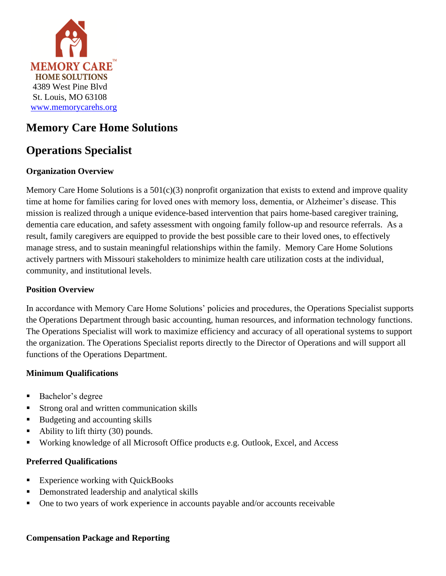

# **Memory Care Home Solutions**

# **Operations Specialist**

## **Organization Overview**

Memory Care Home Solutions is a 501(c)(3) nonprofit organization that exists to extend and improve quality time at home for families caring for loved ones with memory loss, dementia, or Alzheimer's disease. This mission is realized through a unique evidence-based intervention that pairs home-based caregiver training, dementia care education, and safety assessment with ongoing family follow-up and resource referrals. As a result, family caregivers are equipped to provide the best possible care to their loved ones, to effectively manage stress, and to sustain meaningful relationships within the family. Memory Care Home Solutions actively partners with Missouri stakeholders to minimize health care utilization costs at the individual, community, and institutional levels.

### **Position Overview**

In accordance with Memory Care Home Solutions' policies and procedures, the Operations Specialist supports the Operations Department through basic accounting, human resources, and information technology functions. The Operations Specialist will work to maximize efficiency and accuracy of all operational systems to support the organization. The Operations Specialist reports directly to the Director of Operations and will support all functions of the Operations Department.

### **Minimum Qualifications**

- Bachelor's degree
- **EXTERGED** Strong oral and written communication skills
- Budgeting and accounting skills
- Ability to lift thirty (30) pounds.
- Working knowledge of all Microsoft Office products e.g. Outlook, Excel, and Access

#### **Preferred Qualifications**

- Experience working with QuickBooks
- Demonstrated leadership and analytical skills
- One to two years of work experience in accounts payable and/or accounts receivable

#### **Compensation Package and Reporting**